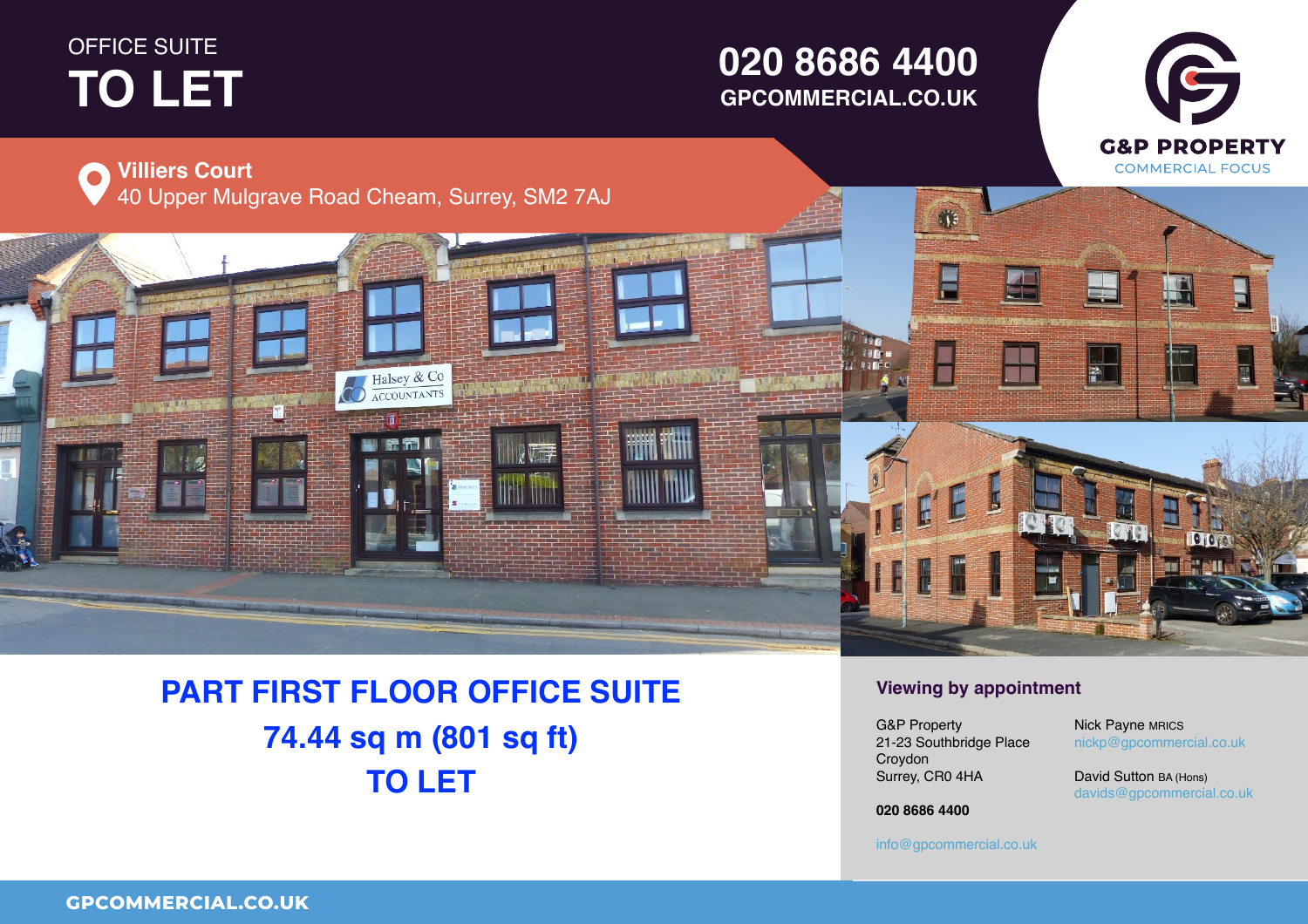## OFFICE SUITE **TO LET PROPERTY** THE **TO LET**

## **01234 567 890 GPCOMMERCIAL.CO.UK020 8686 4400**



# **PART FIRST FLOOR OFFICE SUITE 74.44 sq m (801 sq ft) TO LET**

### **Viewing by appointment**

Surrey, CR0 4HA  $\ldots$ ,  $\ldots$ UB Property<br>21-23 Southbridge Place Property Croydon G&P Property

 $\mathsf{nickp}@\mathsf{g} \mathsf{p} \mathsf{commercial.co.uk}$ Nick Payne MRICS

G

**Figure 1 David Sutton BA (Hons)**<br>Sultant 1 Email 2008  $\frac{1}{2}$ davids@gpcommercial.co.uk<br>.

Town **01234 567 890 020 8686 4400**

County, Postcode

**01234 567 890** info@gpcommercial.co.uk info@gpcommercial.co.uk

info@gpcommercial.co.uk